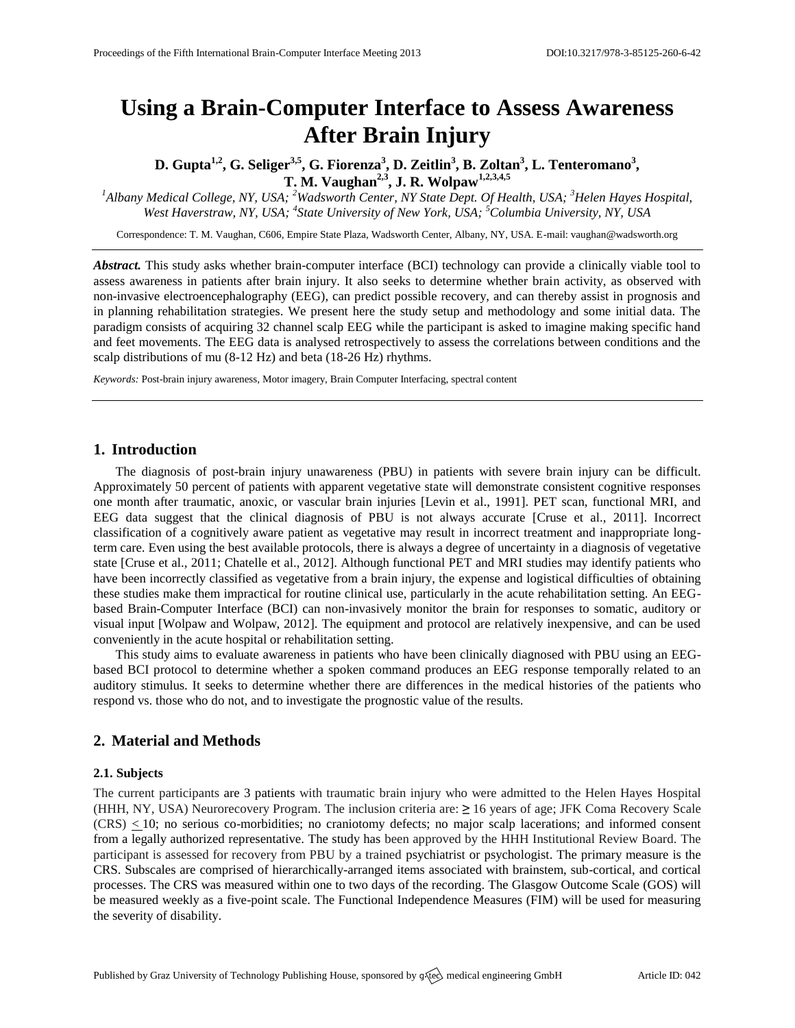# **Using a Brain-Computer Interface to Assess Awareness After Brain Injury**

**D. Gupta1,2 , G. Seliger3,5 , G. Fiorenza<sup>3</sup> , D. Zeitlin<sup>3</sup> , B. Zoltan<sup>3</sup> , L. Tenteromano<sup>3</sup> , T. M. Vaughan2,3 , J. R. Wolpaw1,2,3,4,5**

*<sup>1</sup>Albany Medical College, NY, USA; <sup>2</sup>Wadsworth Center, NY State Dept. Of Health, USA; <sup>3</sup>Helen Hayes Hospital, West Haverstraw, NY, USA; <sup>4</sup> State University of New York, USA; <sup>5</sup>Columbia University, NY, USA*

Correspondence: T. M. Vaughan, C606, Empire State Plaza, Wadsworth Center, Albany, NY, USA. E-mail[: vaughan@wadsworth.org](mailto:vaughan@wadsworth.org)

*Abstract.* This study asks whether brain-computer interface (BCI) technology can provide a clinically viable tool to assess awareness in patients after brain injury. It also seeks to determine whether brain activity, as observed with non-invasive electroencephalography (EEG), can predict possible recovery, and can thereby assist in prognosis and in planning rehabilitation strategies. We present here the study setup and methodology and some initial data. The paradigm consists of acquiring 32 channel scalp EEG while the participant is asked to imagine making specific hand and feet movements. The EEG data is analysed retrospectively to assess the correlations between conditions and the scalp distributions of mu (8-12 Hz) and beta (18-26 Hz) rhythms.

*Keywords:* Post-brain injury awareness, Motor imagery, Brain Computer Interfacing, spectral content

## **1. Introduction**

The diagnosis of post-brain injury unawareness (PBU) in patients with severe brain injury can be difficult. Approximately 50 percent of patients with apparent vegetative state will demonstrate consistent cognitive responses one month after traumatic, anoxic, or vascular brain injuries [Levin et al., 1991]. PET scan, functional MRI, and EEG data suggest that the clinical diagnosis of PBU is not always accurate [Cruse et al., 2011]. Incorrect classification of a cognitively aware patient as vegetative may result in incorrect treatment and inappropriate longterm care. Even using the best available protocols, there is always a degree of uncertainty in a diagnosis of vegetative state [Cruse et al., 2011; Chatelle et al., 2012]. Although functional PET and MRI studies may identify patients who have been incorrectly classified as vegetative from a brain injury, the expense and logistical difficulties of obtaining these studies make them impractical for routine clinical use, particularly in the acute rehabilitation setting. An EEGbased Brain-Computer Interface (BCI) can non-invasively monitor the brain for responses to somatic, auditory or visual input [Wolpaw and Wolpaw, 2012]. The equipment and protocol are relatively inexpensive, and can be used conveniently in the acute hospital or rehabilitation setting.

This study aims to evaluate awareness in patients who have been clinically diagnosed with PBU using an EEGbased BCI protocol to determine whether a spoken command produces an EEG response temporally related to an auditory stimulus. It seeks to determine whether there are differences in the medical histories of the patients who respond vs. those who do not, and to investigate the prognostic value of the results.

## **2. Material and Methods**

#### **2.1. Subjects**

The current participants are 3 patients with traumatic brain injury who were admitted to the Helen Hayes Hospital (HHH, NY, USA) Neurorecovery Program. The inclusion criteria are: **≥** 16 years of age; JFK Coma Recovery Scale (CRS) < 10; no serious co-morbidities; no craniotomy defects; no major scalp lacerations; and informed consent from a legally authorized representative. The study has been approved by the HHH Institutional Review Board. The participant is assessed for recovery from PBU by a trained psychiatrist or psychologist. The primary measure is the CRS. Subscales are comprised of hierarchically-arranged items associated with brainstem, sub-cortical, and cortical processes. The CRS was measured within one to two days of the recording. The Glasgow Outcome Scale (GOS) will be measured weekly as a five-point scale. The Functional Independence Measures (FIM) will be used for measuring the severity of disability.